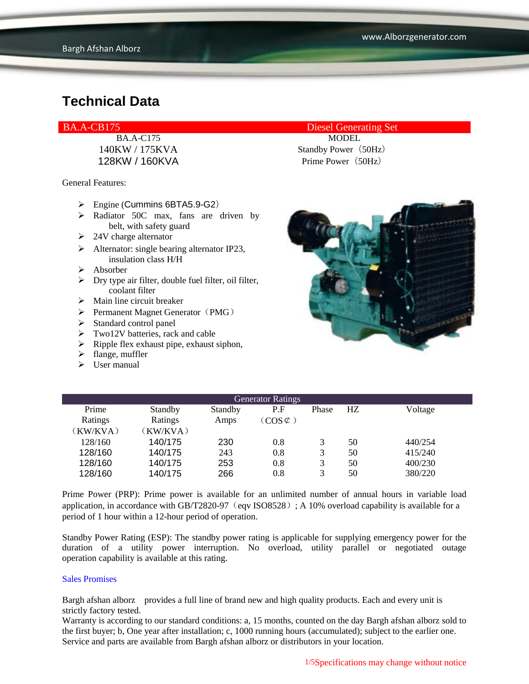General Features:

- $\triangleright$  Engine (Cummins 6BTA5.9-G2)
- $\triangleright$  Radiator 50C max, fans are driven by belt, with safety guard
- $\geq$  24V charge alternator
- $\triangleright$  Alternator: single bearing alternator IP23, insulation class H/H
- $\triangleright$  Absorber
- $\triangleright$  Dry type air filter, double fuel filter, oil filter, coolant filter
- $\triangleright$  Main line circuit breaker
- $\triangleright$  Permanent Magnet Generator (PMG)
- $\blacktriangleright$  Standard control panel
- $\triangleright$  Two12V batteries, rack and cable
- $\triangleright$  Ripple flex exhaust pipe, exhaust siphon,
- $\blacktriangleright$  flange, muffler
- $\triangleright$  User manual

BA.A-CB175 Diesel Generating Set

BA.A-C175 MODEL 140KW / 175KVA Standby Power (50Hz) 128KW / 160KVA Prime Power(50Hz)



| <b>Generator Ratings</b> |          |         |                     |       |     |         |  |
|--------------------------|----------|---------|---------------------|-------|-----|---------|--|
| Prime                    | Standby  | Standby | P.F                 | Phase | HZ. | Voltage |  |
| Ratings                  | Ratings  | Amps    | $(COS \mathcal{C})$ |       |     |         |  |
| (KW/KVA)                 | (KW/KVA) |         |                     |       |     |         |  |
| 128/160                  | 140/175  | 230     | 0.8                 | 3     | 50  | 440/254 |  |
| 128/160                  | 140/175  | 243     | 0.8                 | 3     | 50  | 415/240 |  |
| 128/160                  | 140/175  | 253     | 0.8                 | 3     | 50  | 400/230 |  |
| 128/160                  | 140/175  | 266     | 0.8                 | 3     | 50  | 380/220 |  |

Prime Power (PRP): Prime power is available for an unlimited number of annual hours in variable load application, in accordance with GB/T2820-97 (eqv ISO8528); A 10% overload capability is available for a period of 1 hour within a 12-hour period of operation.

Standby Power Rating (ESP): The standby power rating is applicable for supplying emergency power for the duration of a utility power interruption. No overload, utility parallel or negotiated outage operation capability is available at this rating.

#### Sales Promises

Bargh afshan alborz provides a full line of brand new and high quality products. Each and every unit is strictly factory tested.

Warranty is according to our standard conditions: a, 15 months, counted on the day Bargh afshan alborz sold to the first buyer; b, One year after installation; c, 1000 running hours (accumulated); subject to the earlier one. Service and parts are available from Bargh afshan alborz or distributors in your location.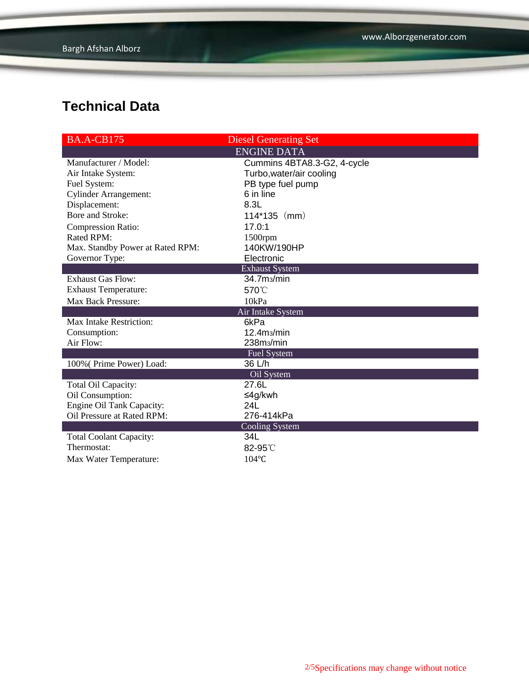| <b>BA.A-CB175</b>                | <b>Diesel Generating Set</b> |  |  |  |  |  |
|----------------------------------|------------------------------|--|--|--|--|--|
| <b>ENGINE DATA</b>               |                              |  |  |  |  |  |
| Manufacturer / Model:            | Cummins 4BTA8.3-G2, 4-cycle  |  |  |  |  |  |
| Air Intake System:               | Turbo, water/air cooling     |  |  |  |  |  |
| Fuel System:                     | PB type fuel pump            |  |  |  |  |  |
| <b>Cylinder Arrangement:</b>     | 6 in line                    |  |  |  |  |  |
| Displacement:                    | 8.3L                         |  |  |  |  |  |
| Bore and Stroke:                 | $114*135$ (mm)               |  |  |  |  |  |
| <b>Compression Ratio:</b>        | 17.0:1                       |  |  |  |  |  |
| Rated RPM:                       | 1500rpm                      |  |  |  |  |  |
| Max. Standby Power at Rated RPM: | 140KW/190HP                  |  |  |  |  |  |
| Governor Type:                   | Electronic                   |  |  |  |  |  |
| <b>Exhaust System</b>            |                              |  |  |  |  |  |
| <b>Exhaust Gas Flow:</b>         | 34.7 <sub>ms</sub> /min      |  |  |  |  |  |
| <b>Exhaust Temperature:</b>      | 570°C                        |  |  |  |  |  |
| <b>Max Back Pressure:</b>        | 10kPa                        |  |  |  |  |  |
| Air Intake System                |                              |  |  |  |  |  |
| Max Intake Restriction:          | 6kPa                         |  |  |  |  |  |
| Consumption:                     | 12.4 <sub>ms/min</sub>       |  |  |  |  |  |
| Air Flow:                        | 238m <sub>3</sub> /min       |  |  |  |  |  |
|                                  | <b>Fuel System</b>           |  |  |  |  |  |
| 100% (Prime Power) Load:         | 36 L/h                       |  |  |  |  |  |
|                                  | Oil System                   |  |  |  |  |  |
| Total Oil Capacity:              | 27.6L                        |  |  |  |  |  |
| Oil Consumption:                 | ≤4g/kwh                      |  |  |  |  |  |
| Engine Oil Tank Capacity:        | 24L                          |  |  |  |  |  |
| Oil Pressure at Rated RPM:       | 276-414kPa                   |  |  |  |  |  |
| <b>Cooling System</b>            |                              |  |  |  |  |  |
| <b>Total Coolant Capacity:</b>   | 34L                          |  |  |  |  |  |
| Thermostat:                      | 82-95°C                      |  |  |  |  |  |
| Max Water Temperature:           | 104°C                        |  |  |  |  |  |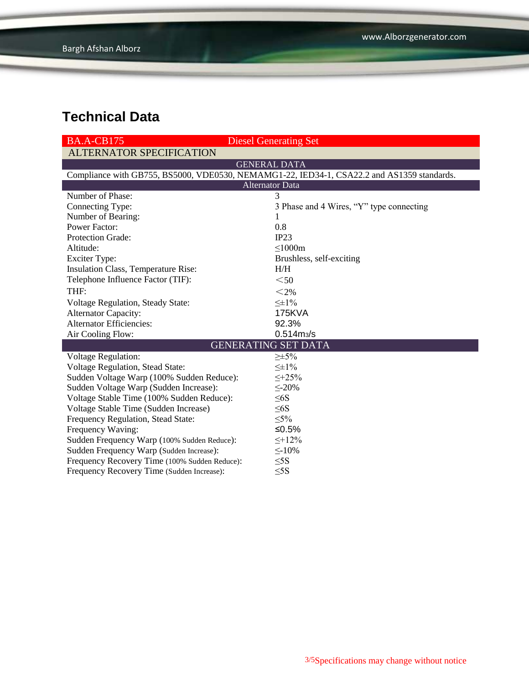| <b>BA.A-CB175</b>                                                                          | <b>Diesel Generating Set</b>             |  |  |  |  |  |
|--------------------------------------------------------------------------------------------|------------------------------------------|--|--|--|--|--|
| <b>ALTERNATOR SPECIFICATION</b>                                                            |                                          |  |  |  |  |  |
| <b>GENERAL DATA</b>                                                                        |                                          |  |  |  |  |  |
| Compliance with GB755, BS5000, VDE0530, NEMAMG1-22, IED34-1, CSA22.2 and AS1359 standards. |                                          |  |  |  |  |  |
| <b>Alternator Data</b>                                                                     |                                          |  |  |  |  |  |
| Number of Phase:                                                                           | 3                                        |  |  |  |  |  |
| Connecting Type:                                                                           | 3 Phase and 4 Wires, "Y" type connecting |  |  |  |  |  |
| Number of Bearing:                                                                         | 1                                        |  |  |  |  |  |
| <b>Power Factor:</b>                                                                       | 0.8                                      |  |  |  |  |  |
| Protection Grade:                                                                          | IP23                                     |  |  |  |  |  |
| Altitude:                                                                                  | $\leq 1000m$                             |  |  |  |  |  |
| <b>Exciter Type:</b>                                                                       | Brushless, self-exciting                 |  |  |  |  |  |
| Insulation Class, Temperature Rise:                                                        | H/H                                      |  |  |  |  |  |
| Telephone Influence Factor (TIF):                                                          | $50$                                     |  |  |  |  |  |
| THF:                                                                                       | $<$ 2%                                   |  |  |  |  |  |
| Voltage Regulation, Steady State:                                                          | $\leq \pm 1\%$                           |  |  |  |  |  |
| <b>Alternator Capacity:</b>                                                                | <b>175KVA</b>                            |  |  |  |  |  |
| <b>Alternator Efficiencies:</b>                                                            | 92.3%                                    |  |  |  |  |  |
| Air Cooling Flow:                                                                          | $0.514 \, \text{m}$ <sub>3</sub> /s      |  |  |  |  |  |
|                                                                                            | <b>GENERATING SET DATA</b>               |  |  |  |  |  |
| <b>Voltage Regulation:</b>                                                                 | $\geq \pm 5\%$                           |  |  |  |  |  |
| Voltage Regulation, Stead State:                                                           | $\leq \pm 1\%$                           |  |  |  |  |  |
| Sudden Voltage Warp (100% Sudden Reduce):                                                  | $\leq +25\%$                             |  |  |  |  |  |
| Sudden Voltage Warp (Sudden Increase):                                                     | $\leq$ -20%                              |  |  |  |  |  |
| Voltage Stable Time (100% Sudden Reduce):                                                  | $\leq 6S$                                |  |  |  |  |  |
| Voltage Stable Time (Sudden Increase)                                                      | $\leq 6S$                                |  |  |  |  |  |
| Frequency Regulation, Stead State:                                                         | $\leq 5\%$                               |  |  |  |  |  |
| Frequency Waving:                                                                          | ≤0.5%                                    |  |  |  |  |  |
| Sudden Frequency Warp (100% Sudden Reduce):                                                | $\leq +12\%$                             |  |  |  |  |  |
| Sudden Frequency Warp (Sudden Increase):                                                   | $\leq$ -10%                              |  |  |  |  |  |
| Frequency Recovery Time (100% Sudden Reduce):                                              | $\leq$ 5S                                |  |  |  |  |  |
| Frequency Recovery Time (Sudden Increase):                                                 | $\leq$ 5S                                |  |  |  |  |  |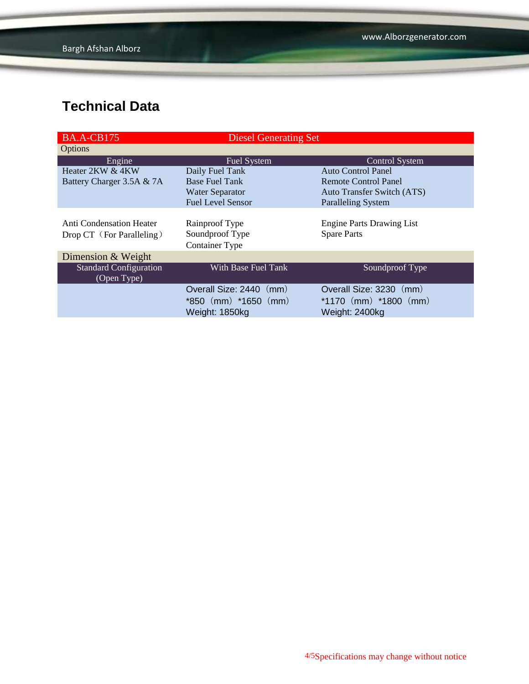| <b>BA.A-CB175</b>             | <b>Diesel Generating Set</b> |                                   |  |  |
|-------------------------------|------------------------------|-----------------------------------|--|--|
| <b>Options</b>                |                              |                                   |  |  |
| Engine                        | <b>Fuel System</b>           | <b>Control System</b>             |  |  |
| Heater 2KW & 4KW              | Daily Fuel Tank              | <b>Auto Control Panel</b>         |  |  |
| Battery Charger 3.5A & 7A     | <b>Base Fuel Tank</b>        | Remote Control Panel              |  |  |
|                               | <b>Water Separator</b>       | <b>Auto Transfer Switch (ATS)</b> |  |  |
|                               | <b>Fuel Level Sensor</b>     | <b>Paralleling System</b>         |  |  |
|                               |                              |                                   |  |  |
| Anti Condensation Heater      | Rainproof Type               | <b>Engine Parts Drawing List</b>  |  |  |
| Drop CT (For Paralleling)     | Soundproof Type              | <b>Spare Parts</b>                |  |  |
|                               | <b>Container Type</b>        |                                   |  |  |
| Dimension & Weight            |                              |                                   |  |  |
| <b>Standard Configuration</b> | With Base Fuel Tank          | Soundproof Type                   |  |  |
| (Open Type)                   |                              |                                   |  |  |
|                               | Overall Size: 2440 (mm)      | Overall Size: 3230 (mm)           |  |  |
|                               | *850 (mm) *1650 (mm)         | *1170 $(mm)$ *1800 $(mm)$         |  |  |
|                               | Weight: 1850kg               | Weight: 2400kg                    |  |  |
|                               |                              |                                   |  |  |